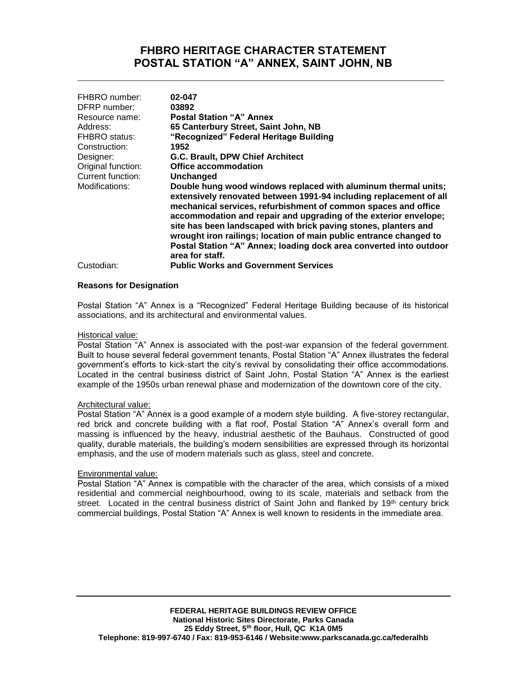## **FHBRO HERITAGE CHARACTER STATEMENT POSTAL STATION "A" ANNEX, SAINT JOHN, NB**

**\_\_\_\_\_\_\_\_\_\_\_\_\_\_\_\_\_\_\_\_\_\_\_\_\_\_\_\_\_\_\_\_\_\_\_\_\_\_\_\_\_\_\_\_\_\_\_\_\_\_\_\_\_\_\_\_\_\_\_**

| FHBRO number:<br>DFRP number:<br>Resource name:<br>Address:<br><b>FHBRO</b> status:<br>Construction:<br>Designer:<br>Original function: | 02-047<br>03892<br><b>Postal Station "A" Annex</b><br>65 Canterbury Street, Saint John, NB<br>"Recognized" Federal Heritage Building<br>1952<br>G.C. Brault, DPW Chief Architect<br>Office accommodation                                                                                                                                                                                                                                                                                                     |
|-----------------------------------------------------------------------------------------------------------------------------------------|--------------------------------------------------------------------------------------------------------------------------------------------------------------------------------------------------------------------------------------------------------------------------------------------------------------------------------------------------------------------------------------------------------------------------------------------------------------------------------------------------------------|
| Current function:                                                                                                                       | Unchanged                                                                                                                                                                                                                                                                                                                                                                                                                                                                                                    |
| Modifications:                                                                                                                          | Double hung wood windows replaced with aluminum thermal units;<br>extensively renovated between 1991-94 including replacement of all<br>mechanical services, refurbishment of common spaces and office<br>accommodation and repair and upgrading of the exterior envelope;<br>site has been landscaped with brick paving stones, planters and<br>wrought iron railings; location of main public entrance changed to<br>Postal Station "A" Annex; loading dock area converted into outdoor<br>area for staff. |
| Custodian:                                                                                                                              | <b>Public Works and Government Services</b>                                                                                                                                                                                                                                                                                                                                                                                                                                                                  |

#### **Reasons for Designation**

Postal Station "A" Annex is a "Recognized" Federal Heritage Building because of its historical associations, and its architectural and environmental values.

#### Historical value:

Postal Station "A" Annex is associated with the post-war expansion of the federal government. Built to house several federal government tenants, Postal Station "A" Annex illustrates the federal government's efforts to kick-start the city's revival by consolidating their office accommodations. Located in the central business district of Saint John, Postal Station "A" Annex is the earliest example of the 1950s urban renewal phase and modernization of the downtown core of the city.

#### Architectural value:

Postal Station "A" Annex is a good example of a modern style building. A five-storey rectangular, red brick and concrete building with a flat roof, Postal Station "A" Annex's overall form and massing is influenced by the heavy, industrial aesthetic of the Bauhaus. Constructed of good quality, durable materials, the building's modern sensibilities are expressed through its horizontal emphasis, and the use of modern materials such as glass, steel and concrete.

#### Environmental value:

Postal Station "A" Annex is compatible with the character of the area, which consists of a mixed residential and commercial neighbourhood, owing to its scale, materials and setback from the street. Located in the central business district of Saint John and flanked by 19<sup>th</sup> century brick commercial buildings, Postal Station "A" Annex is well known to residents in the immediate area.